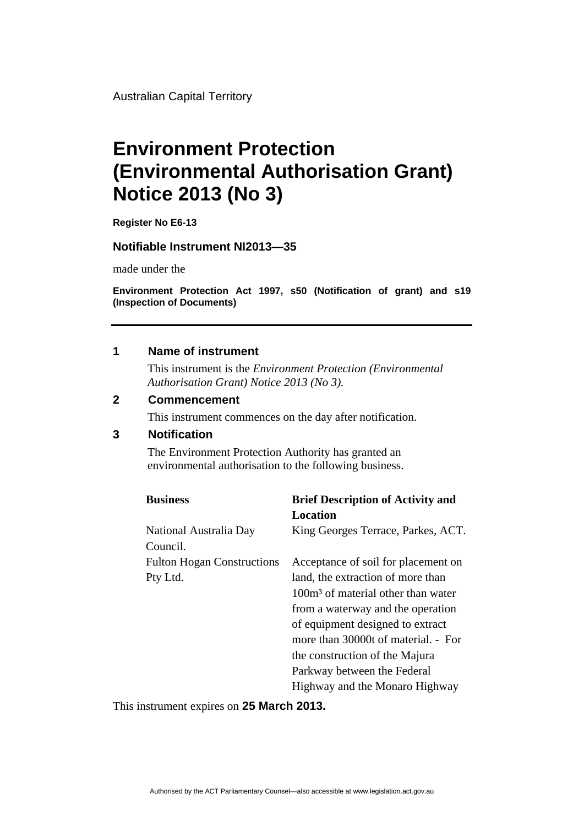Australian Capital Territory

# **Environment Protection (Environmental Authorisation Grant) Notice 2013 (No 3)**

**Register No E6-13** 

#### **Notifiable Instrument NI2013—35**

made under the

**Environment Protection Act 1997, s50 (Notification of grant) and s19 (Inspection of Documents)** 

#### **1 Name of instrument**

This instrument is the *Environment Protection (Environmental Authorisation Grant) Notice 2013 (No 3).* 

#### **2 Commencement**

This instrument commences on the day after notification.

### **3 Notification**

The Environment Protection Authority has granted an environmental authorisation to the following business.

| <b>Business</b>                   | <b>Brief Description of Activity and</b>       |
|-----------------------------------|------------------------------------------------|
|                                   | Location                                       |
| National Australia Day            | King Georges Terrace, Parkes, ACT.             |
| Council.                          |                                                |
| <b>Fulton Hogan Constructions</b> | Acceptance of soil for placement on            |
| Pty Ltd.                          | land, the extraction of more than              |
|                                   | 100m <sup>3</sup> of material other than water |
|                                   | from a waterway and the operation              |
|                                   | of equipment designed to extract               |
|                                   | more than 30000t of material. - For            |
|                                   | the construction of the Majura                 |
|                                   | Parkway between the Federal                    |
|                                   | Highway and the Monaro Highway                 |
|                                   |                                                |

This instrument expires on **25 March 2013.**